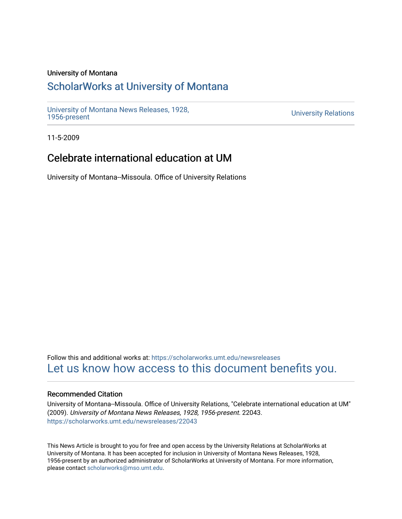#### University of Montana

## [ScholarWorks at University of Montana](https://scholarworks.umt.edu/)

[University of Montana News Releases, 1928,](https://scholarworks.umt.edu/newsreleases) 

**University Relations** 

11-5-2009

## Celebrate international education at UM

University of Montana--Missoula. Office of University Relations

Follow this and additional works at: [https://scholarworks.umt.edu/newsreleases](https://scholarworks.umt.edu/newsreleases?utm_source=scholarworks.umt.edu%2Fnewsreleases%2F22043&utm_medium=PDF&utm_campaign=PDFCoverPages) [Let us know how access to this document benefits you.](https://goo.gl/forms/s2rGfXOLzz71qgsB2) 

#### Recommended Citation

University of Montana--Missoula. Office of University Relations, "Celebrate international education at UM" (2009). University of Montana News Releases, 1928, 1956-present. 22043. [https://scholarworks.umt.edu/newsreleases/22043](https://scholarworks.umt.edu/newsreleases/22043?utm_source=scholarworks.umt.edu%2Fnewsreleases%2F22043&utm_medium=PDF&utm_campaign=PDFCoverPages) 

This News Article is brought to you for free and open access by the University Relations at ScholarWorks at University of Montana. It has been accepted for inclusion in University of Montana News Releases, 1928, 1956-present by an authorized administrator of ScholarWorks at University of Montana. For more information, please contact [scholarworks@mso.umt.edu.](mailto:scholarworks@mso.umt.edu)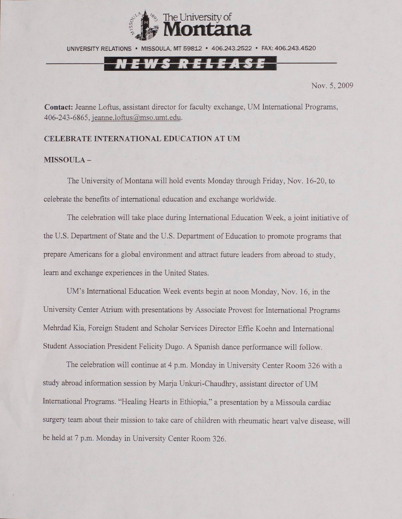

UNIVERSITY RELATIONS • MISSOULA, MT 59812 • 406.243.2522 • FAX: 406.243.4520

# N E W S R E L E A S E

Nov. 5, 2009

**Contact:** Jeanne Loftus, assistant director for faculty exchange, UM International Programs, 406-243-6865, [ieanne.loftus@mso.umt.edu.](mailto:ieanne.loftus@mso.umt.edu)

#### **CELEBRATE INTERNATIONAL EDUCATION AT UM**

### **MISSOULA -**

The University of Montana will hold events Monday through Friday, Nov. 16-20, to celebrate the benefits of international education and exchange worldwide.

The celebration will take place during International Education Week, a joint initiative of the U.S. Department of State and the U.S. Department of Education to promote programs that prepare Americans for a global environment and attract future leaders from abroad to study, leam and exchange experiences in the United States.

UM's International Education Week events begin at noon Monday, Nov. 16, in the University Center Atrium with presentations by Associate Provost for International Programs Mehrdad Kia, Foreign Student and Scholar Services Director Effie Koehn and International Student Association President Felicity Dugo. A Spanish dance performance will follow.

The celebration will continue at 4 p.m. Monday in University Center Room 326 with a study abroad information session by Marja Unkuri-Chaudhry, assistant director of UM International Programs. "Healing Hearts in Ethiopia," a presentation by a Missoula cardiac surgery team about their mission to take care of children with rheumatic heart valve disease, will be held at 7 p.m. Monday in University Center Room 326.